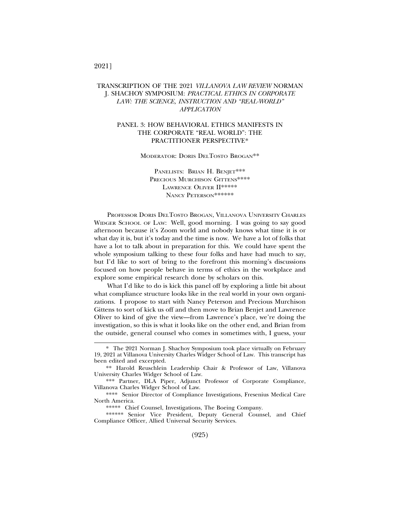## TRANSCRIPTION OF THE 2021 *VILLANOVA LAW REVIEW* NORMAN J. SHACHOY SYMPOSIUM: *PRACTICAL ETHICS IN CORPORATE LAW: THE SCIENCE, INSTRUCTION AND "REAL-WORLD" APPLICATION*

## PANEL 3: HOW BEHAVIORAL ETHICS MANIFESTS IN THE CORPORATE "REAL WORLD": THE PRACTITIONER PERSPECTIVE\*

MODERATOR: DORIS DELTOSTO BROGAN\*\*

PANELISTS: BRIAN H. BENJET\*\*\* PRECIOUS MURCHISON GITTENS\*\*\*\* LAWRENCE OLIVER II\*\*\*\*\* NANCY PETERSON\*\*\*\*\*\*\*

PROFESSOR DORIS DELTOSTO BROGAN, VILLANOVA UNIVERSITY CHARLES WIDGER SCHOOL OF LAW: Well, good morning. I was going to say good afternoon because it's Zoom world and nobody knows what time it is or what day it is, but it's today and the time is now. We have a lot of folks that have a lot to talk about in preparation for this. We could have spent the whole symposium talking to these four folks and have had much to say, but I'd like to sort of bring to the forefront this morning's discussions focused on how people behave in terms of ethics in the workplace and explore some empirical research done by scholars on this.

What I'd like to do is kick this panel off by exploring a little bit about what compliance structure looks like in the real world in your own organizations. I propose to start with Nancy Peterson and Precious Murchison Gittens to sort of kick us off and then move to Brian Benjet and Lawrence Oliver to kind of give the view—from Lawrence's place, we're doing the investigation, so this is what it looks like on the other end, and Brian from the outside, general counsel who comes in sometimes with, I guess, your

## 2021]

<sup>\*</sup> The 2021 Norman J. Shachoy Symposium took place virtually on February 19, 2021 at Villanova University Charles Widger School of Law. This transcript has been edited and excerpted.

<sup>\*\*</sup> Harold Reuschlein Leadership Chair & Professor of Law, Villanova University Charles Widger School of Law.

<sup>\*\*\*</sup> Partner, DLA Piper, Adjunct Professor of Corporate Compliance, Villanova Charles Widger School of Law.

<sup>\*\*\*\*</sup> Senior Director of Compliance Investigations, Fresenius Medical Care North America.

<sup>\*\*\*\*\*</sup> Chief Counsel, Investigations, The Boeing Company.

<sup>\*\*\*\*\*\*</sup> Senior Vice President, Deputy General Counsel, and Chief Compliance Officer, Allied Universal Security Services.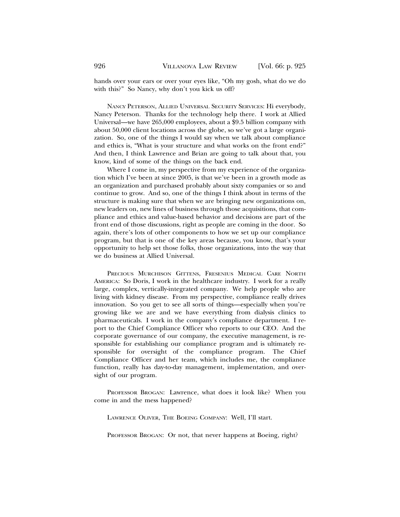hands over your ears or over your eyes like, "Oh my gosh, what do we do with this?" So Nancy, why don't you kick us off?

NANCY PETERSON, ALLIED UNIVERSAL SECURITY SERVICES: Hi everybody, Nancy Peterson. Thanks for the technology help there. I work at Allied Universal—we have 265,000 employees, about a \$9.5 billion company with about 50,000 client locations across the globe, so we've got a large organization. So, one of the things I would say when we talk about compliance and ethics is, "What is your structure and what works on the front end?" And then, I think Lawrence and Brian are going to talk about that, you know, kind of some of the things on the back end.

Where I come in, my perspective from my experience of the organization which I've been at since 2005, is that we've been in a growth mode as an organization and purchased probably about sixty companies or so and continue to grow. And so, one of the things I think about in terms of the structure is making sure that when we are bringing new organizations on, new leaders on, new lines of business through those acquisitions, that compliance and ethics and value-based behavior and decisions are part of the front end of those discussions, right as people are coming in the door. So again, there's lots of other components to how we set up our compliance program, but that is one of the key areas because, you know, that's your opportunity to help set those folks, those organizations, into the way that we do business at Allied Universal.

PRECIOUS MURCHISON GITTENS, FRESENIUS MEDICAL CARE NORTH AMERICA: So Doris, I work in the healthcare industry. I work for a really large, complex, vertically-integrated company. We help people who are living with kidney disease. From my perspective, compliance really drives innovation. So you get to see all sorts of things—especially when you're growing like we are and we have everything from dialysis clinics to pharmaceuticals. I work in the company's compliance department. I report to the Chief Compliance Officer who reports to our CEO. And the corporate governance of our company, the executive management, is responsible for establishing our compliance program and is ultimately responsible for oversight of the compliance program. The Chief Compliance Officer and her team, which includes me, the compliance function, really has day-to-day management, implementation, and oversight of our program.

PROFESSOR BROGAN: Lawrence, what does it look like? When you come in and the mess happened?

LAWRENCE OLIVER, THE BOEING COMPANY: Well, I'll start.

PROFESSOR BROGAN: Or not, that never happens at Boeing, right?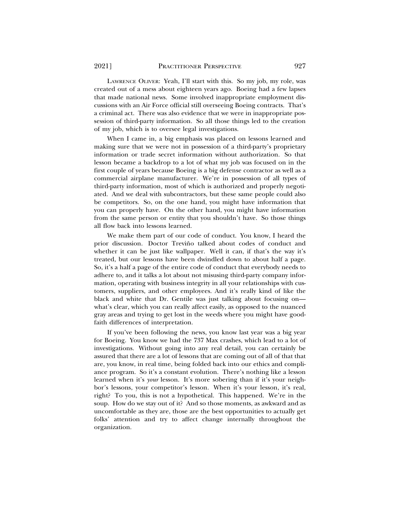LAWRENCE OLIVER: Yeah, I'll start with this. So my job, my role, was created out of a mess about eighteen years ago. Boeing had a few lapses that made national news. Some involved inappropriate employment discussions with an Air Force official still overseeing Boeing contracts. That's a criminal act. There was also evidence that we were in inappropriate possession of third-party information. So all those things led to the creation of my job, which is to oversee legal investigations.

When I came in, a big emphasis was placed on lessons learned and making sure that we were not in possession of a third-party's proprietary information or trade secret information without authorization. So that lesson became a backdrop to a lot of what my job was focused on in the first couple of years because Boeing is a big defense contractor as well as a commercial airplane manufacturer. We're in possession of all types of third-party information, most of which is authorized and properly negotiated. And we deal with subcontractors, but these same people could also be competitors. So, on the one hand, you might have information that you can properly have. On the other hand, you might have information from the same person or entity that you shouldn't have. So those things all flow back into lessons learned.

We make them part of our code of conduct. You know, I heard the prior discussion. Doctor Treviño talked about codes of conduct and whether it can be just like wallpaper. Well it can, if that's the way it's treated, but our lessons have been dwindled down to about half a page. So, it's a half a page of the entire code of conduct that everybody needs to adhere to, and it talks a lot about not misusing third-party company information, operating with business integrity in all your relationships with customers, suppliers, and other employees. And it's really kind of like the black and white that Dr. Gentile was just talking about focusing on what's clear, which you can really affect easily, as opposed to the nuanced gray areas and trying to get lost in the weeds where you might have goodfaith differences of interpretation.

If you've been following the news, you know last year was a big year for Boeing. You know we had the 737 Max crashes, which lead to a lot of investigations. Without going into any real detail, you can certainly be assured that there are a lot of lessons that are coming out of all of that that are, you know, in real time, being folded back into our ethics and compliance program. So it's a constant evolution. There's nothing like a lesson learned when it's *your* lesson. It's more sobering than if it's your neighbor's lessons, your competitor's lesson. When it's your lesson, it's real, right? To you, this is not a hypothetical. This happened. We're in the soup. How do we stay out of it? And so those moments, as awkward and as uncomfortable as they are, those are the best opportunities to actually get folks' attention and try to affect change internally throughout the organization.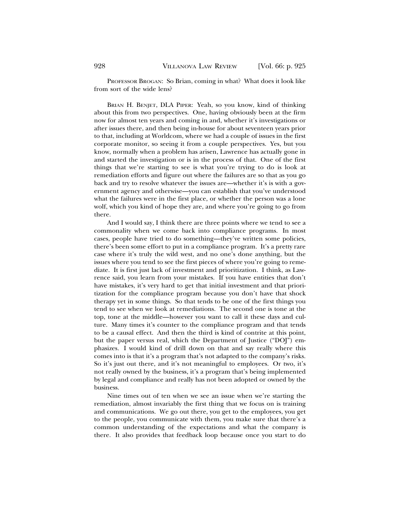PROFESSOR BROGAN: So Brian, coming in what? What does it look like from sort of the wide lens?

BRIAN H. BENJET, DLA PIPER: Yeah, so you know, kind of thinking about this from two perspectives. One, having obviously been at the firm now for almost ten years and coming in and, whether it's investigations or after issues there, and then being in-house for about seventeen years prior to that, including at Worldcom, where we had a couple of issues in the first corporate monitor, so seeing it from a couple perspectives. Yes, but you know, normally when a problem has arisen, Lawrence has actually gone in and started the investigation or is in the process of that. One of the first things that we're starting to see is what you're trying to do is look at remediation efforts and figure out where the failures are so that as you go back and try to resolve whatever the issues are—whether it's is with a government agency and otherwise—you can establish that you've understood what the failures were in the first place, or whether the person was a lone wolf, which you kind of hope they are, and where you're going to go from there.

And I would say, I think there are three points where we tend to see a commonality when we come back into compliance programs. In most cases, people have tried to do something—they've written some policies, there's been some effort to put in a compliance program. It's a pretty rare case where it's truly the wild west, and no one's done anything, but the issues where you tend to see the first pieces of where you're going to remediate. It is first just lack of investment and prioritization. I think, as Lawrence said, you learn from your mistakes. If you have entities that don't have mistakes, it's very hard to get that initial investment and that prioritization for the compliance program because you don't have that shock therapy yet in some things. So that tends to be one of the first things you tend to see when we look at remediations. The second one is tone at the top, tone at the middle—however you want to call it these days and culture. Many times it's counter to the compliance program and that tends to be a causal effect. And then the third is kind of contrite at this point, but the paper versus real, which the Department of Justice ("DOJ") emphasizes. I would kind of drill down on that and say really where this comes into is that it's a program that's not adapted to the company's risks. So it's just out there, and it's not meaningful to employees. Or two, it's not really owned by the business, it's a program that's being implemented by legal and compliance and really has not been adopted or owned by the business.

Nine times out of ten when we see an issue when we're starting the remediation, almost invariably the first thing that we focus on is training and communications. We go out there, you get to the employees, you get to the people, you communicate with them, you make sure that there's a common understanding of the expectations and what the company is there. It also provides that feedback loop because once you start to do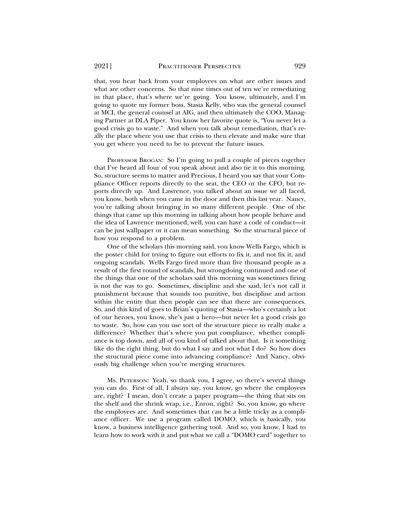that, you hear back from your employees on what are other issues and what are other concerns. So that nine times out of ten we're remediating in that place, that's where we're going. You know, ultimately, and I'm going to quote my former boss, Stasia Kelly, who was the general counsel at MCI, the general counsel at AIG, and then ultimately the COO, Managing Partner at DLA Piper. You know her favorite quote is, "You never let a good crisis go to waste." And when you talk about remediation, that's really the place where you use that crisis to then elevate and make sure that you get where you need to be to prevent the future issues.

PROFESSOR BROGAN: So I'm going to pull a couple of pieces together that I've heard all four of you speak about and also tie it to this morning. So, structure seems to matter and Precious, I heard you say that your Compliance Officer reports directly to the seat, the CEO or the CFO, but reports directly up. And Lawrence, you talked about an issue we all faced, you know, both when you came in the door and then this last year. Nancy, you're talking about bringing in so many different people. One of the things that came up this morning in talking about how people behave and the idea of Lawrence mentioned, well, you can have a code of conduct—it can be just wallpaper or it can mean something. So the structural piece of how you respond to a problem.

One of the scholars this morning said, you know Wells Fargo, which is the poster child for trying to figure out efforts to fix it, and not fix it, and ongoing scandals. Wells Fargo fired more than five thousand people as a result of the first round of scandals, but wrongdoing continued and one of the things that one of the scholars said this morning was sometimes firing is not the way to go. Sometimes, discipline and she said, let's not call it punishment because that sounds too punitive, but discipline and action within the entity that then people can see that there are consequences. So, and this kind of goes to Brian's quoting of Stasia—who's certainly a lot of our heroes, you know, she's just a hero—but never let a good crisis go to waste. So, how can you use sort of the structure piece to really make a difference? Whether that's where you put compliance, whether compliance is top down, and all of you kind of talked about that. Is it something like do the right thing, but do what I say and not what I do? So how does the structural piece come into advancing compliance? And Nancy, obviously big challenge when you're merging structures.

MS. PETERSON: Yeah, so thank you, I agree, so there's several things you can do. First of all, I always say, you know, go where the employees are, right? I mean, don't create a paper program—the thing that sits on the shelf and the shrink wrap, i.e., Enron, right? So, you know, go where the employees are. And sometimes that can be a little tricky as a compliance officer. We use a program called DOMO, which is basically, you know, a business intelligence gathering tool. And so, you know, I had to learn how to work with it and put what we call a "DOMO card" together to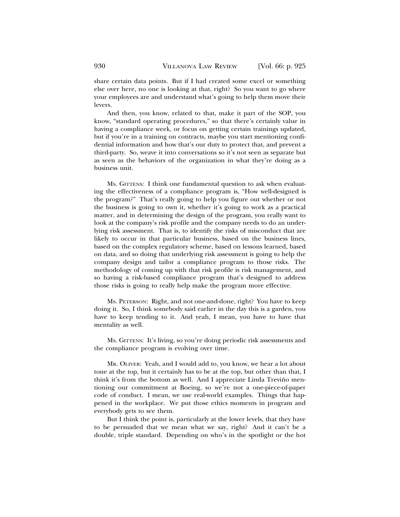share certain data points. But if I had created some excel or something else over here, no one is looking at that, right? So you want to go where your employees are and understand what's going to help them move their levers.

And then, you know, related to that, make it part of the SOP, you know, "standard operating procedures," so that there's certainly value in having a compliance week, or focus on getting certain trainings updated, but if you're in a training on contracts, maybe you start mentioning confidential information and how that's our duty to protect that, and prevent a third-party. So, weave it into conversations so it's not seen as separate but as seen as the behaviors of the organization in what they're doing as a business unit.

MS. GITTENS: I think one fundamental question to ask when evaluating the effectiveness of a compliance program is, "How well-designed is the program?" That's really going to help you figure out whether or not the business is going to own it, whether it's going to work as a practical matter, and in determining the design of the program, you really want to look at the company's risk profile and the company needs to do an underlying risk assessment. That is, to identify the risks of misconduct that are likely to occur in that particular business, based on the business lines, based on the complex regulatory scheme, based on lessons learned, based on data, and so doing that underlying risk assessment is going to help the company design and tailor a compliance program to those risks. The methodology of coming up with that risk profile is risk management, and so having a risk-based compliance program that's designed to address those risks is going to really help make the program more effective.

MS. PETERSON: Right, and not one-and-done, right? You have to keep doing it. So, I think somebody said earlier in the day this is a garden, you have to keep tending to it. And yeah, I mean, you have to have that mentality as well.

MS. GITTENS: It's living, so you're doing periodic risk assessments and the compliance program is evolving over time.

MR. OLIVER: Yeah, and I would add to, you know, we hear a lot about tone at the top, but it certainly has to be at the top, but other than that, I think it's from the bottom as well. And I appreciate Linda Treviño mentioning our commitment at Boeing, so we're not a one-piece-of-paper code of conduct. I mean, we use real-world examples. Things that happened in the workplace. We put those ethics moments in program and everybody gets to see them.

But I think the point is, particularly at the lower levels, that they have to be persuaded that we mean what we say, right? And it can't be a double, triple standard. Depending on who's in the spotlight or the hot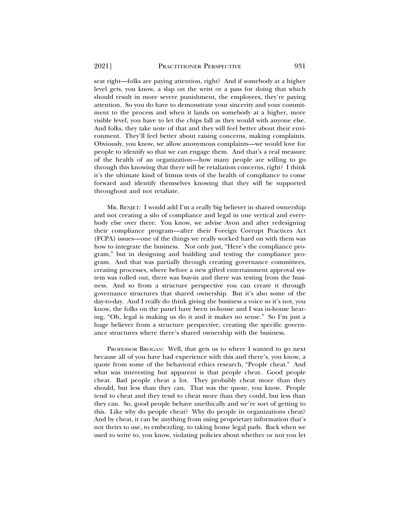seat right—folks are paying attention, right? And if somebody at a higher level gets, you know, a slap on the wrist or a pass for doing that which should result in more severe punishment, the employees, they're paying attention. So you do have to demonstrate your sincerity and your commitment to the process and when it lands on somebody at a higher, more visible level, you have to let the chips fall as they would with anyone else. And folks, they take note of that and they will feel better about their environment. They'll feel better about raising concerns, making complaints. Obviously, you know, we allow anonymous complaints—we would love for people to identify so that we can engage them. And that's a real measure of the health of an organization—how many people are willing to go through this knowing that there will be retaliation concerns, right? I think it's the ultimate kind of litmus tests of the health of compliance to come forward and identify themselves knowing that they will be supported throughout and not retaliate.

MR. BENJET: I would add I'm a really big believer in shared ownership and not creating a silo of compliance and legal in one vertical and everybody else over there. You know, we advise Avon and after redesigning their compliance program—after their Foreign Corrupt Practices Act (FCPA) issues—one of the things we really worked hard on with them was how to integrate the business. Not only just, "Here's the compliance program," but in designing and building and testing the compliance program. And that was partially through creating governance committees, creating processes, where before a new gifted entertainment approval system was rolled out, there was buy-in and there was testing from the business. And so from a structure perspective you can create it through governance structures that shared ownership. But it's also some of the day-to-day. And I really do think giving the business a voice so it's not, you know, the folks on the panel have been in-house and I was in-house hearing, "Oh, legal is making us do it and it makes no sense." So I'm just a huge believer from a structure perspective, creating the specific governance structures where there's shared ownership with the business.

PROFESSOR BROGAN: Well, that gets us to where I wanted to go next because all of you have had experience with this and there's, you know, a quote from some of the behavioral ethics research, "People cheat." And what was interesting but apparent is that people cheat. Good people cheat. Bad people cheat a lot. They probably cheat more than they should, but less than they can. That was the quote, you know. People tend to cheat and they tend to cheat more than they could, but less than they can. So, good people behave unethically and we're sort of getting to this. Like why do people cheat? Why do people in organizations cheat? And by cheat, it can be anything from using proprietary information that's not theirs to use, to embezzling, to taking home legal pads. Back when we used to write to, you know, violating policies about whether or not you let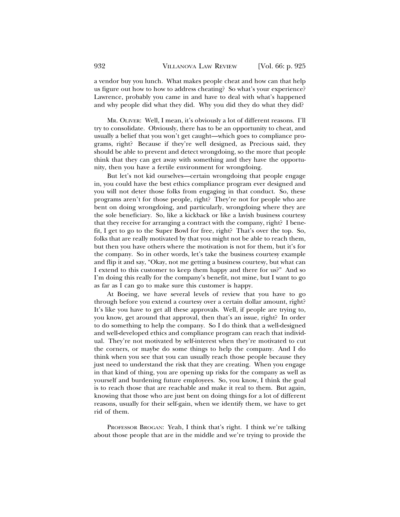a vendor buy you lunch. What makes people cheat and how can that help us figure out how to how to address cheating? So what's your experience? Lawrence, probably you came in and have to deal with what's happened and why people did what they did. Why you did they do what they did?

MR. OLIVER: Well, I mean, it's obviously a lot of different reasons. I'll try to consolidate. Obviously, there has to be an opportunity to cheat, and usually a belief that you won't get caught—which goes to compliance programs, right? Because if they're well designed, as Precious said, they should be able to prevent and detect wrongdoing, so the more that people think that they can get away with something and they have the opportunity, then you have a fertile environment for wrongdoing.

But let's not kid ourselves—certain wrongdoing that people engage in, you could have the best ethics compliance program ever designed and you will not deter those folks from engaging in that conduct. So, these programs aren't for those people, right? They're not for people who are bent on doing wrongdoing, and particularly, wrongdoing where they are the sole beneficiary. So, like a kickback or like a lavish business courtesy that they receive for arranging a contract with the company, right? I benefit, I get to go to the Super Bowl for free, right? That's over the top. So, folks that are really motivated by that you might not be able to reach them, but then you have others where the motivation is not for them, but it's for the company. So in other words, let's take the business courtesy example and flip it and say, "Okay, not me getting a business courtesy, but what can I extend to this customer to keep them happy and there for us?" And so I'm doing this really for the company's benefit, not mine, but I want to go as far as I can go to make sure this customer is happy.

At Boeing, we have several levels of review that you have to go through before you extend a courtesy over a certain dollar amount, right? It's like you have to get all these approvals. Well, if people are trying to, you know, get around that approval, then that's an issue, right? In order to do something to help the company. So I do think that a well-designed and well-developed ethics and compliance program can reach that individual. They're not motivated by self-interest when they're motivated to cut the corners, or maybe do some things to help the company. And I do think when you see that you can usually reach those people because they just need to understand the risk that they are creating. When you engage in that kind of thing, you are opening up risks for the company as well as yourself and burdening future employees. So, you know, I think the goal is to reach those that are reachable and make it real to them. But again, knowing that those who are just bent on doing things for a lot of different reasons, usually for their self-gain, when we identify them, we have to get rid of them.

PROFESSOR BROGAN: Yeah, I think that's right. I think we're talking about those people that are in the middle and we're trying to provide the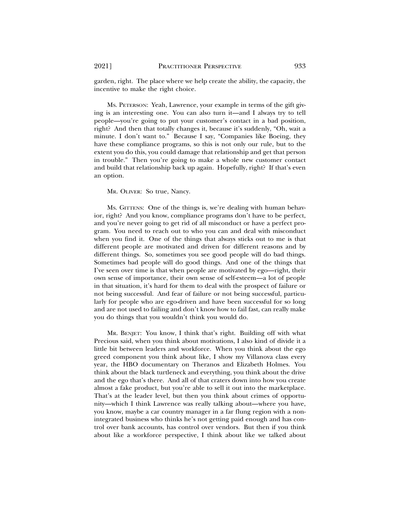garden, right. The place where we help create the ability, the capacity, the incentive to make the right choice.

MS. PETERSON: Yeah, Lawrence, your example in terms of the gift giving is an interesting one. You can also turn it—and I always try to tell people—you're going to put your customer's contact in a bad position, right? And then that totally changes it, because it's suddenly, "Oh, wait a minute. I don't want to." Because I say, "Companies like Boeing, they have these compliance programs, so this is not only our rule, but to the extent you do this, you could damage that relationship and get that person in trouble." Then you're going to make a whole new customer contact and build that relationship back up again. Hopefully, right? If that's even an option.

MR. OLIVER: So true, Nancy.

MS. GITTENS: One of the things is, we're dealing with human behavior, right? And you know, compliance programs don't have to be perfect, and you're never going to get rid of all misconduct or have a perfect program. You need to reach out to who you can and deal with misconduct when you find it. One of the things that always sticks out to me is that different people are motivated and driven for different reasons and by different things. So, sometimes you see good people will do bad things. Sometimes bad people will do good things. And one of the things that I've seen over time is that when people are motivated by ego—right, their own sense of importance, their own sense of self-esteem—a lot of people in that situation, it's hard for them to deal with the prospect of failure or not being successful. And fear of failure or not being successful, particularly for people who are ego-driven and have been successful for so long and are not used to failing and don't know how to fail fast, can really make you do things that you wouldn't think you would do.

MR. BENJET: You know, I think that's right. Building off with what Precious said, when you think about motivations, I also kind of divide it a little bit between leaders and workforce. When you think about the ego greed component you think about like, I show my Villanova class every year, the HBO documentary on Theranos and Elizabeth Holmes. You think about the black turtleneck and everything, you think about the drive and the ego that's there. And all of that craters down into how you create almost a fake product, but you're able to sell it out into the marketplace. That's at the leader level, but then you think about crimes of opportunity—which I think Lawrence was really talking about—where you have, you know, maybe a car country manager in a far flung region with a nonintegrated business who thinks he's not getting paid enough and has control over bank accounts, has control over vendors. But then if you think about like a workforce perspective, I think about like we talked about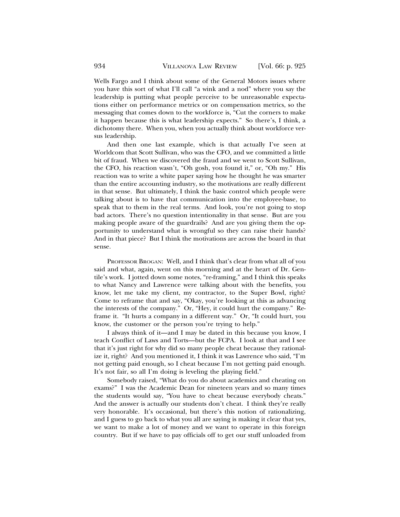Wells Fargo and I think about some of the General Motors issues where you have this sort of what I'll call "a wink and a nod" where you say the leadership is putting what people perceive to be unreasonable expectations either on performance metrics or on compensation metrics, so the messaging that comes down to the workforce is, "Cut the corners to make it happen because this is what leadership expects." So there's, I think, a dichotomy there. When you, when you actually think about workforce versus leadership.

And then one last example, which is that actually I've seen at Worldcom that Scott Sullivan, who was the CFO, and we committed a little bit of fraud. When we discovered the fraud and we went to Scott Sullivan, the CFO, his reaction wasn't, "Oh gosh, you found it," or, "Oh my." His reaction was to write a white paper saying how he thought he was smarter than the entire accounting industry, so the motivations are really different in that sense. But ultimately, I think the basic control which people were talking about is to have that communication into the employee-base, to speak that to them in the real terms. And look, you're not going to stop bad actors. There's no question intentionality in that sense. But are you making people aware of the guardrails? And are you giving them the opportunity to understand what is wrongful so they can raise their hands? And in that piece? But I think the motivations are across the board in that sense.

PROFESSOR BROGAN: Well, and I think that's clear from what all of you said and what, again, went on this morning and at the heart of Dr. Gentile's work. I jotted down some notes, "re-framing," and I think this speaks to what Nancy and Lawrence were talking about with the benefits, you know, let me take my client, my contractor, to the Super Bowl, right? Come to reframe that and say, "Okay, you're looking at this as advancing the interests of the company." Or, "Hey, it could hurt the company." Reframe it. "It hurts a company in a different way." Or, "It could hurt, you know, the customer or the person you're trying to help."

I always think of it—and I may be dated in this because you know, I teach Conflict of Laws and Torts—but the FCPA. I look at that and I see that it's just right for why did so many people cheat because they rationalize it, right? And you mentioned it, I think it was Lawrence who said, "I'm not getting paid enough, so I cheat because I'm not getting paid enough. It's not fair, so all I'm doing is leveling the playing field."

Somebody raised, "What do you do about academics and cheating on exams?" I was the Academic Dean for nineteen years and so many times the students would say, "You have to cheat because everybody cheats." And the answer is actually our students don't cheat. I think they're really very honorable. It's occasional, but there's this notion of rationalizing, and I guess to go back to what you all are saying is making it clear that yes, we want to make a lot of money and we want to operate in this foreign country. But if we have to pay officials off to get our stuff unloaded from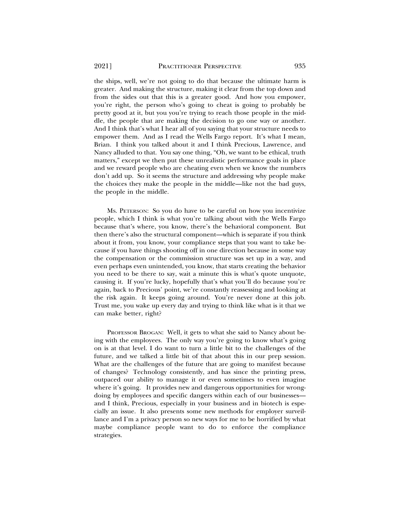the ships, well, we're not going to do that because the ultimate harm is greater. And making the structure, making it clear from the top down and from the sides out that this is a greater good. And how you empower, you're right, the person who's going to cheat is going to probably be pretty good at it, but you you're trying to reach those people in the middle, the people that are making the decision to go one way or another. And I think that's what I hear all of you saying that your structure needs to empower them. And as I read the Wells Fargo report. It's what I mean, Brian. I think you talked about it and I think Precious, Lawrence, and Nancy alluded to that. You say one thing, "Oh, we want to be ethical, truth matters," except we then put these unrealistic performance goals in place and we reward people who are cheating even when we know the numbers don't add up. So it seems the structure and addressing why people make the choices they make the people in the middle—like not the bad guys, the people in the middle.

MS. PETERSON: So you do have to be careful on how you incentivize people, which I think is what you're talking about with the Wells Fargo because that's where, you know, there's the behavioral component. But then there's also the structural component—which is separate if you think about it from, you know, your compliance steps that you want to take because if you have things shooting off in one direction because in some way the compensation or the commission structure was set up in a way, and even perhaps even unintended, you know, that starts creating the behavior you need to be there to say, wait a minute this is what's quote unquote, causing it. If you're lucky, hopefully that's what you'll do because you're again, back to Precious' point, we're constantly reassessing and looking at the risk again. It keeps going around. You're never done at this job. Trust me, you wake up every day and trying to think like what is it that we can make better, right?

PROFESSOR BROGAN: Well, it gets to what she said to Nancy about being with the employees. The only way you're going to know what's going on is at that level. I do want to turn a little bit to the challenges of the future, and we talked a little bit of that about this in our prep session. What are the challenges of the future that are going to manifest because of changes? Technology consistently, and has since the printing press, outpaced our ability to manage it or even sometimes to even imagine where it's going. It provides new and dangerous opportunities for wrongdoing by employees and specific dangers within each of our businesses and I think, Precious, especially in your business and in biotech is especially an issue. It also presents some new methods for employer surveillance and I'm a privacy person so new ways for me to be horrified by what maybe compliance people want to do to enforce the compliance strategies.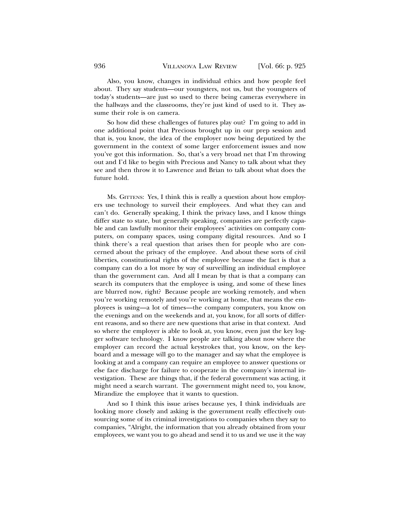Also, you know, changes in individual ethics and how people feel about. They say students—our youngsters, not us, but the youngsters of today's students—are just so used to there being cameras everywhere in the hallways and the classrooms, they're just kind of used to it. They assume their role is on camera.

So how did these challenges of futures play out? I'm going to add in one additional point that Precious brought up in our prep session and that is, you know, the idea of the employer now being deputized by the government in the context of some larger enforcement issues and now you've got this information. So, that's a very broad net that I'm throwing out and I'd like to begin with Precious and Nancy to talk about what they see and then throw it to Lawrence and Brian to talk about what does the future hold.

MS. GITTENS: Yes, I think this is really a question about how employers use technology to surveil their employees. And what they can and can't do. Generally speaking, I think the privacy laws, and I know things differ state to state, but generally speaking, companies are perfectly capable and can lawfully monitor their employees' activities on company computers, on company spaces, using company digital resources. And so I think there's a real question that arises then for people who are concerned about the privacy of the employee. And about these sorts of civil liberties, constitutional rights of the employee because the fact is that a company can do a lot more by way of surveilling an individual employee than the government can. And all I mean by that is that a company can search its computers that the employee is using, and some of these lines are blurred now, right? Because people are working remotely, and when you're working remotely and you're working at home, that means the employees is using—a lot of times—the company computers, you know on the evenings and on the weekends and at, you know, for all sorts of different reasons, and so there are new questions that arise in that context. And so where the employer is able to look at, you know, even just the key logger software technology. I know people are talking about now where the employer can record the actual keystrokes that, you know, on the keyboard and a message will go to the manager and say what the employee is looking at and a company can require an employee to answer questions or else face discharge for failure to cooperate in the company's internal investigation. These are things that, if the federal government was acting, it might need a search warrant. The government might need to, you know, Mirandize the employee that it wants to question.

And so I think this issue arises because yes, I think individuals are looking more closely and asking is the government really effectively outsourcing some of its criminal investigations to companies when they say to companies, "Alright, the information that you already obtained from your employees, we want you to go ahead and send it to us and we use it the way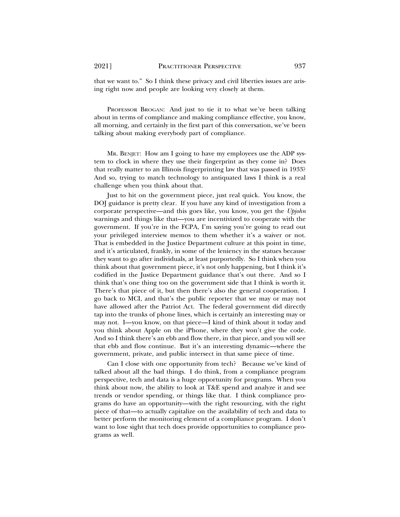that we want to." So I think these privacy and civil liberties issues are arising right now and people are looking very closely at them.

PROFESSOR BROGAN: And just to tie it to what we've been talking about in terms of compliance and making compliance effective, you know, all morning, and certainly in the first part of this conversation, we've been talking about making everybody part of compliance.

MR. BENJET: How am I going to have my employees use the ADP system to clock in where they use their fingerprint as they come in? Does that really matter to an Illinois fingerprinting law that was passed in 1933? And so, trying to match technology to antiquated laws I think is a real challenge when you think about that.

Just to hit on the government piece, just real quick. You know, the DOJ guidance is pretty clear. If you have any kind of investigation from a corporate perspective—and this goes like, you know, you get the *Upjohn* warnings and things like that—you are incentivized to cooperate with the government. If you're in the FCPA, I'm saying you're going to read out your privileged interview memos to them whether it's a waiver or not. That is embedded in the Justice Department culture at this point in time, and it's articulated, frankly, in some of the leniency in the statues because they want to go after individuals, at least purportedly. So I think when you think about that government piece, it's not only happening, but I think it's codified in the Justice Department guidance that's out there. And so I think that's one thing too on the government side that I think is worth it. There's that piece of it, but then there's also the general cooperation. I go back to MCI, and that's the public reporter that we may or may not have allowed after the Patriot Act. The federal government did directly tap into the trunks of phone lines, which is certainly an interesting may or may not. I—you know, on that piece—I kind of think about it today and you think about Apple on the iPhone, where they won't give the code. And so I think there's an ebb and flow there, in that piece, and you will see that ebb and flow continue. But it's an interesting dynamic—where the government, private, and public intersect in that same piece of time.

Can I close with one opportunity from tech? Because we've kind of talked about all the bad things. I do think, from a compliance program perspective, tech and data is a huge opportunity for programs. When you think about now, the ability to look at T&E spend and analyze it and see trends or vendor spending, or things like that. I think compliance programs do have an opportunity—with the right resourcing, with the right piece of that—to actually capitalize on the availability of tech and data to better perform the monitoring element of a compliance program. I don't want to lose sight that tech does provide opportunities to compliance programs as well.